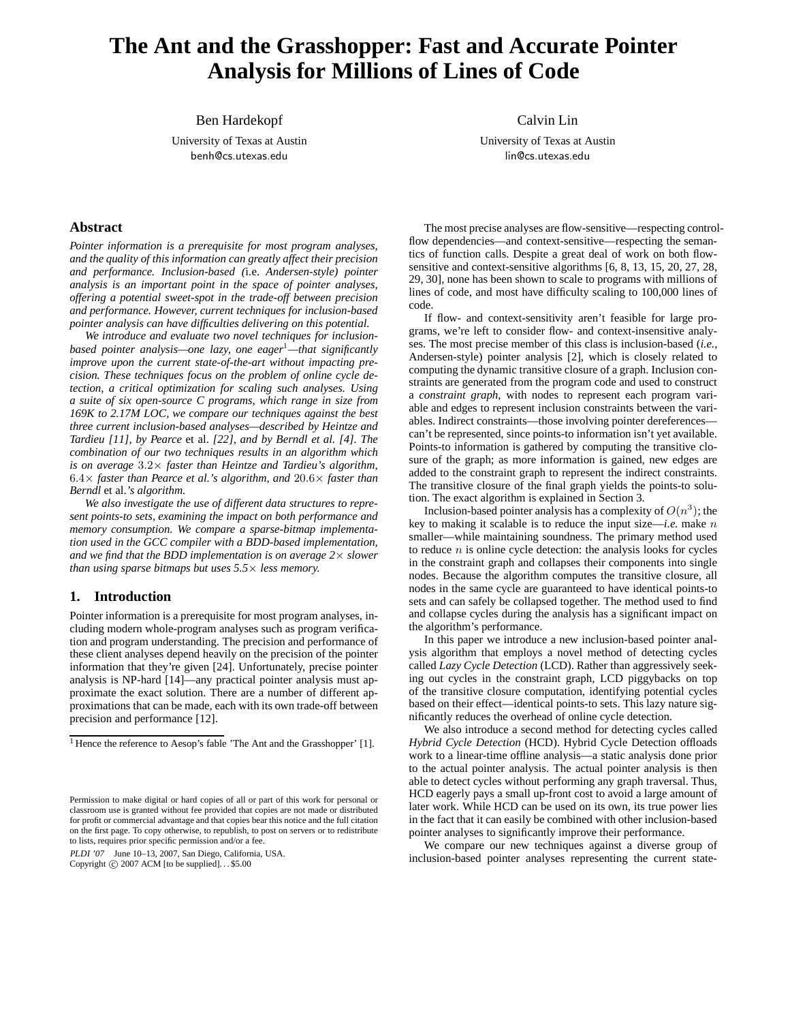# **The Ant and the Grasshopper: Fast and Accurate Pointer Analysis for Millions of Lines of Code**

Ben Hardekopf

University of Texas at Austin benh@cs.utexas.edu

Calvin Lin

University of Texas at Austin lin@cs.utexas.edu

# **Abstract**

*Pointer information is a prerequisite for most program analyses, and the quality of this information can greatly affect their precision and performance. Inclusion-based (*i.e. *Andersen-style) pointer analysis is an important point in the space of pointer analyses, offering a potential sweet-spot in the trade-off between precision and performance. However, current techniques for inclusion-based pointer analysis can have difficulties delivering on this potential.*

*We introduce and evaluate two novel techniques for inclusionbased pointer analysis—one lazy, one eager<sup>1</sup>—that significantly improve upon the current state-of-the-art without impacting precision. These techniques focus on the problem of online cycle detection, a critical optimization for scaling such analyses. Using a suite of six open-source C programs, which range in size from 169K to 2.17M LOC, we compare our techniques against the best three current inclusion-based analyses—described by Heintze and Tardieu [11], by Pearce* et al. *[22], and by Berndl et al. [4]. The combination of our two techniques results in an algorithm which is on average* 3.2× *faster than Heintze and Tardieu's algorithm,* 6.4× *faster than Pearce et al.'s algorithm, and* 20.6× *faster than Berndl* et al.*'s algorithm.*

*We also investigate the use of different data structures to represent points-to sets, examining the impact on both performance and memory consumption. We compare a sparse-bitmap implementation used in the GCC compiler with a BDD-based implementation, and we find that the BDD implementation is on average 2*× *slower than using sparse bitmaps but uses 5.5*× *less memory.*

# **1. Introduction**

Pointer information is a prerequisite for most program analyses, including modern whole-program analyses such as program verification and program understanding. The precision and performance of these client analyses depend heavily on the precision of the pointer information that they're given [24]. Unfortunately, precise pointer analysis is NP-hard [14]—any practical pointer analysis must approximate the exact solution. There are a number of different approximations that can be made, each with its own trade-off between precision and performance [12].

PLDI '07 June 10–13, 2007, San Diego, California, USA.

Copyright  $\odot$  2007 ACM [to be supplied]... \$5.00

The most precise analyses are flow-sensitive—respecting controlflow dependencies—and context-sensitive—respecting the semantics of function calls. Despite a great deal of work on both flowsensitive and context-sensitive algorithms [6, 8, 13, 15, 20, 27, 28, 29, 30], none has been shown to scale to programs with millions of lines of code, and most have difficulty scaling to 100,000 lines of code.

If flow- and context-sensitivity aren't feasible for large programs, we're left to consider flow- and context-insensitive analyses. The most precise member of this class is inclusion-based (*i.e.*, Andersen-style) pointer analysis [2], which is closely related to computing the dynamic transitive closure of a graph. Inclusion constraints are generated from the program code and used to construct a *constraint graph*, with nodes to represent each program variable and edges to represent inclusion constraints between the variables. Indirect constraints—those involving pointer dereferences can't be represented, since points-to information isn't yet available. Points-to information is gathered by computing the transitive closure of the graph; as more information is gained, new edges are added to the constraint graph to represent the indirect constraints. The transitive closure of the final graph yields the points-to solution. The exact algorithm is explained in Section 3.

Inclusion-based pointer analysis has a complexity of  $O(n^3)$ ; the key to making it scalable is to reduce the input size—*i.e.* make  $n$ smaller—while maintaining soundness. The primary method used to reduce  $n$  is online cycle detection: the analysis looks for cycles in the constraint graph and collapses their components into single nodes. Because the algorithm computes the transitive closure, all nodes in the same cycle are guaranteed to have identical points-to sets and can safely be collapsed together. The method used to find and collapse cycles during the analysis has a significant impact on the algorithm's performance.

In this paper we introduce a new inclusion-based pointer analysis algorithm that employs a novel method of detecting cycles called *Lazy Cycle Detection* (LCD). Rather than aggressively seeking out cycles in the constraint graph, LCD piggybacks on top of the transitive closure computation, identifying potential cycles based on their effect—identical points-to sets. This lazy nature significantly reduces the overhead of online cycle detection.

We also introduce a second method for detecting cycles called *Hybrid Cycle Detection* (HCD). Hybrid Cycle Detection offloads work to a linear-time offline analysis—a static analysis done prior to the actual pointer analysis. The actual pointer analysis is then able to detect cycles without performing any graph traversal. Thus, HCD eagerly pays a small up-front cost to avoid a large amount of later work. While HCD can be used on its own, its true power lies in the fact that it can easily be combined with other inclusion-based pointer analyses to significantly improve their performance.

We compare our new techniques against a diverse group of inclusion-based pointer analyses representing the current state-

<sup>&</sup>lt;sup>1</sup> Hence the reference to Aesop's fable 'The Ant and the Grasshopper' [1].

Permission to make digital or hard copies of all or part of this work for personal or classroom use is granted without fee provided that copies are not made or distributed for profit or commercial advantage and that copies bear this notice and the full citation on the first page. To copy otherwise, to republish, to post on servers or to redistribute to lists, requires prior specific permission and/or a fee.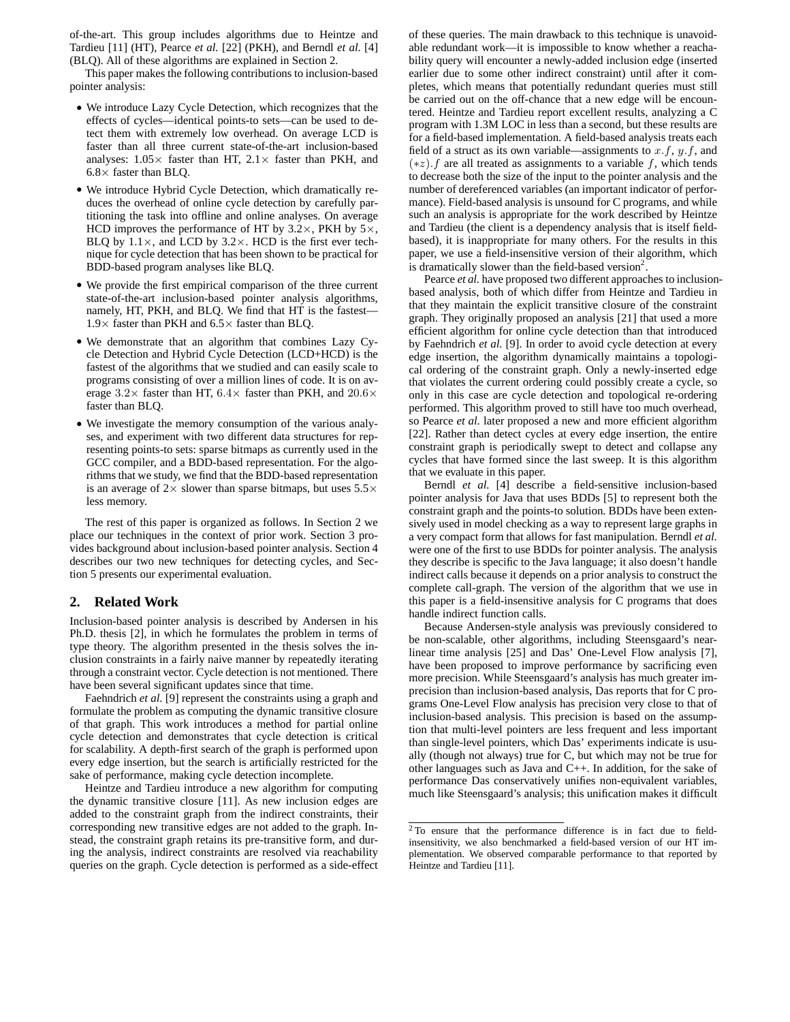of-the-art. This group includes algorithms due to Heintze and Tardieu [11] (HT), Pearce *et al.* [22] (PKH), and Berndl *et al.* [4] (BLQ). All of these algorithms are explained in Section 2.

This paper makes the following contributions to inclusion-based pointer analysis:

- We introduce Lazy Cycle Detection, which recognizes that the effects of cycles—identical points-to sets—can be used to detect them with extremely low overhead. On average LCD is faster than all three current state-of-the-art inclusion-based analyses:  $1.05 \times$  faster than HT,  $2.1 \times$  faster than PKH, and  $6.8\times$  faster than BLQ.
- We introduce Hybrid Cycle Detection, which dramatically reduces the overhead of online cycle detection by carefully partitioning the task into offline and online analyses. On average HCD improves the performance of HT by  $3.2\times$ , PKH by  $5\times$ , BLQ by  $1.1 \times$ , and LCD by  $3.2 \times$ . HCD is the first ever technique for cycle detection that has been shown to be practical for BDD-based program analyses like BLQ.
- We provide the first empirical comparison of the three current state-of-the-art inclusion-based pointer analysis algorithms, namely, HT, PKH, and BLQ. We find that HT is the fastest—  $1.9\times$  faster than PKH and 6.5 $\times$  faster than BLO.
- We demonstrate that an algorithm that combines Lazy Cycle Detection and Hybrid Cycle Detection (LCD+HCD) is the fastest of the algorithms that we studied and can easily scale to programs consisting of over a million lines of code. It is on average  $3.2\times$  faster than HT,  $6.4\times$  faster than PKH, and  $20.6\times$ faster than BLQ.
- We investigate the memory consumption of the various analyses, and experiment with two different data structures for representing points-to sets: sparse bitmaps as currently used in the GCC compiler, and a BDD-based representation. For the algorithms that we study, we find that the BDD-based representation is an average of  $2 \times$  slower than sparse bitmaps, but uses  $5.5 \times$ less memory.

The rest of this paper is organized as follows. In Section 2 we place our techniques in the context of prior work. Section 3 provides background about inclusion-based pointer analysis. Section 4 describes our two new techniques for detecting cycles, and Section 5 presents our experimental evaluation.

## **2. Related Work**

Inclusion-based pointer analysis is described by Andersen in his Ph.D. thesis [2], in which he formulates the problem in terms of type theory. The algorithm presented in the thesis solves the inclusion constraints in a fairly naive manner by repeatedly iterating through a constraint vector. Cycle detection is not mentioned. There have been several significant updates since that time.

Faehndrich *et al.* [9] represent the constraints using a graph and formulate the problem as computing the dynamic transitive closure of that graph. This work introduces a method for partial online cycle detection and demonstrates that cycle detection is critical for scalability. A depth-first search of the graph is performed upon every edge insertion, but the search is artificially restricted for the sake of performance, making cycle detection incomplete.

Heintze and Tardieu introduce a new algorithm for computing the dynamic transitive closure [11]. As new inclusion edges are added to the constraint graph from the indirect constraints, their corresponding new transitive edges are not added to the graph. Instead, the constraint graph retains its pre-transitive form, and during the analysis, indirect constraints are resolved via reachability queries on the graph. Cycle detection is performed as a side-effect of these queries. The main drawback to this technique is unavoidable redundant work—it is impossible to know whether a reachability query will encounter a newly-added inclusion edge (inserted earlier due to some other indirect constraint) until after it completes, which means that potentially redundant queries must still be carried out on the off-chance that a new edge will be encountered. Heintze and Tardieu report excellent results, analyzing a C program with 1.3M LOC in less than a second, but these results are for a field-based implementation. A field-based analysis treats each field of a struct as its own variable—assignments to  $x.f$ ,  $y.f$ , and  $(*z).f$  are all treated as assignments to a variable  $f$ , which tends to decrease both the size of the input to the pointer analysis and the number of dereferenced variables (an important indicator of performance). Field-based analysis is unsound for C programs, and while such an analysis is appropriate for the work described by Heintze and Tardieu (the client is a dependency analysis that is itself fieldbased), it is inappropriate for many others. For the results in this paper, we use a field-insensitive version of their algorithm, which is dramatically slower than the field-based version<sup>2</sup>.

Pearce *et al.* have proposed two different approaches to inclusionbased analysis, both of which differ from Heintze and Tardieu in that they maintain the explicit transitive closure of the constraint graph. They originally proposed an analysis [21] that used a more efficient algorithm for online cycle detection than that introduced by Faehndrich *et al.* [9]. In order to avoid cycle detection at every edge insertion, the algorithm dynamically maintains a topological ordering of the constraint graph. Only a newly-inserted edge that violates the current ordering could possibly create a cycle, so only in this case are cycle detection and topological re-ordering performed. This algorithm proved to still have too much overhead, so Pearce *et al.* later proposed a new and more efficient algorithm [22]. Rather than detect cycles at every edge insertion, the entire constraint graph is periodically swept to detect and collapse any cycles that have formed since the last sweep. It is this algorithm that we evaluate in this paper.

Berndl *et al.* [4] describe a field-sensitive inclusion-based pointer analysis for Java that uses BDDs [5] to represent both the constraint graph and the points-to solution. BDDs have been extensively used in model checking as a way to represent large graphs in a very compact form that allows for fast manipulation. Berndl *et al.* were one of the first to use BDDs for pointer analysis. The analysis they describe is specific to the Java language; it also doesn't handle indirect calls because it depends on a prior analysis to construct the complete call-graph. The version of the algorithm that we use in this paper is a field-insensitive analysis for C programs that does handle indirect function calls.

Because Andersen-style analysis was previously considered to be non-scalable, other algorithms, including Steensgaard's nearlinear time analysis [25] and Das' One-Level Flow analysis [7], have been proposed to improve performance by sacrificing even more precision. While Steensgaard's analysis has much greater imprecision than inclusion-based analysis, Das reports that for C programs One-Level Flow analysis has precision very close to that of inclusion-based analysis. This precision is based on the assumption that multi-level pointers are less frequent and less important than single-level pointers, which Das' experiments indicate is usually (though not always) true for C, but which may not be true for other languages such as Java and C++. In addition, for the sake of performance Das conservatively unifies non-equivalent variables, much like Steensgaard's analysis; this unification makes it difficult

<sup>2</sup> To ensure that the performance difference is in fact due to fieldinsensitivity, we also benchmarked a field-based version of our HT implementation. We observed comparable performance to that reported by Heintze and Tardieu [11].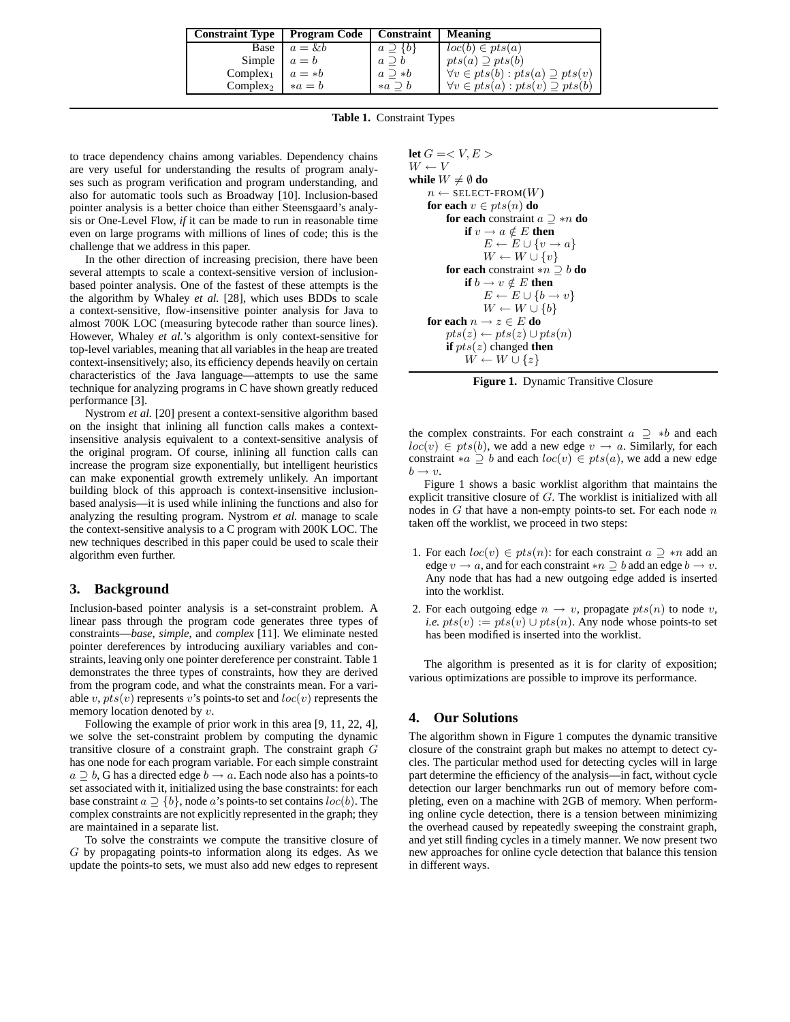| <b>Constraint Type</b>        | Program Code   Constraint |                     | <b>Meaning</b>                                  |
|-------------------------------|---------------------------|---------------------|-------------------------------------------------|
|                               | Base $a = \&b$            | $a \supseteq \{b\}$ | $loc(b) \in pts(a)$                             |
| Simple $a = b$                |                           | $a \supset b$       | $pts(a) \supset pts(b)$                         |
| Complex <sub>1</sub> $a = *b$ |                           | $a \supset *b$      | $\forall v \in pts(b): pts(a) \supseteq pts(v)$ |
| Complex <sub>2</sub>          | $* a = b$                 | $*a \supset b$      | $\forall v \in pts(a): pts(v) \supseteq pts(b)$ |

**Table 1.** Constraint Types

to trace dependency chains among variables. Dependency chains are very useful for understanding the results of program analyses such as program verification and program understanding, and also for automatic tools such as Broadway [10]. Inclusion-based pointer analysis is a better choice than either Steensgaard's analysis or One-Level Flow, *if* it can be made to run in reasonable time even on large programs with millions of lines of code; this is the challenge that we address in this paper.

In the other direction of increasing precision, there have been several attempts to scale a context-sensitive version of inclusionbased pointer analysis. One of the fastest of these attempts is the the algorithm by Whaley *et al.* [28], which uses BDDs to scale a context-sensitive, flow-insensitive pointer analysis for Java to almost 700K LOC (measuring bytecode rather than source lines). However, Whaley *et al.*'s algorithm is only context-sensitive for top-level variables, meaning that all variables in the heap are treated context-insensitively; also, its efficiency depends heavily on certain characteristics of the Java language—attempts to use the same technique for analyzing programs in C have shown greatly reduced performance [3].

Nystrom *et al.* [20] present a context-sensitive algorithm based on the insight that inlining all function calls makes a contextinsensitive analysis equivalent to a context-sensitive analysis of the original program. Of course, inlining all function calls can increase the program size exponentially, but intelligent heuristics can make exponential growth extremely unlikely. An important building block of this approach is context-insensitive inclusionbased analysis—it is used while inlining the functions and also for analyzing the resulting program. Nystrom *et al.* manage to scale the context-sensitive analysis to a C program with 200K LOC. The new techniques described in this paper could be used to scale their algorithm even further.

# **3. Background**

Inclusion-based pointer analysis is a set-constraint problem. A linear pass through the program code generates three types of constraints—*base*, *simple*, and *complex* [11]. We eliminate nested pointer dereferences by introducing auxiliary variables and constraints, leaving only one pointer dereference per constraint. Table 1 demonstrates the three types of constraints, how they are derived from the program code, and what the constraints mean. For a variable v,  $pts(v)$  represents v's points-to set and  $loc(v)$  represents the memory location denoted by  $v$ .

Following the example of prior work in this area [9, 11, 22, 4], we solve the set-constraint problem by computing the dynamic transitive closure of a constraint graph. The constraint graph G has one node for each program variable. For each simple constraint  $a \supset b$ , G has a directed edge  $b \to a$ . Each node also has a points-to set associated with it, initialized using the base constraints: for each base constraint  $a \supseteq \{b\}$ , node a's points-to set contains  $loc(b)$ . The complex constraints are not explicitly represented in the graph; they are maintained in a separate list.

To solve the constraints we compute the transitive closure of G by propagating points-to information along its edges. As we update the points-to sets, we must also add new edges to represent

```
let G = \langle V, E \rangleW \leftarrow Vwhile W \neq \emptyset do
n \leftarrow SELECT-FROM(W)for each v \in pts(n) do
     for each constraint a ⊇ ∗n do
           if v \rightarrow a \notin E then
                E \leftarrow E \cup \{v \rightarrow a\}W \leftarrow W \stackrel{\cdot}{\cup} \{v\}for each constraint ∗n ⊇ b do
           if b \rightarrow v \notin E then
                E \leftarrow E \cup \{b \rightarrow v\}W \leftarrow W \cup \{b\}for each n \to z \in E do
      pts(z) \leftarrow pts(z) \cup pts(n)if pts(z) changed then
           W \leftarrow W \cup \{z\}
```
**Figure 1.** Dynamic Transitive Closure

the complex constraints. For each constraint  $a \supseteq *b$  and each  $loc(v) \in pts(b)$ , we add a new edge  $v \rightarrow a$ . Similarly, for each constraint \*a  $\supseteq b$  and each  $loc(v) \in pts(a)$ , we add a new edge  $b \rightarrow v$ .

Figure 1 shows a basic worklist algorithm that maintains the explicit transitive closure of G. The worklist is initialized with all nodes in  $G$  that have a non-empty points-to set. For each node  $n$ taken off the worklist, we proceed in two steps:

- 1. For each  $loc(v) \in pts(n)$ : for each constraint  $a \supseteq *n$  add an edge  $v \rightarrow a$ , and for each constraint \*n  $\supset b$  add an edge  $b \rightarrow v$ . Any node that has had a new outgoing edge added is inserted into the worklist.
- 2. For each outgoing edge  $n \to v$ , propagate  $pts(n)$  to node v, *i.e.*  $pts(v) := pts(v) \cup pts(n)$ . Any node whose points-to set has been modified is inserted into the worklist.

The algorithm is presented as it is for clarity of exposition; various optimizations are possible to improve its performance.

## **4. Our Solutions**

The algorithm shown in Figure 1 computes the dynamic transitive closure of the constraint graph but makes no attempt to detect cycles. The particular method used for detecting cycles will in large part determine the efficiency of the analysis—in fact, without cycle detection our larger benchmarks run out of memory before completing, even on a machine with 2GB of memory. When performing online cycle detection, there is a tension between minimizing the overhead caused by repeatedly sweeping the constraint graph, and yet still finding cycles in a timely manner. We now present two new approaches for online cycle detection that balance this tension in different ways.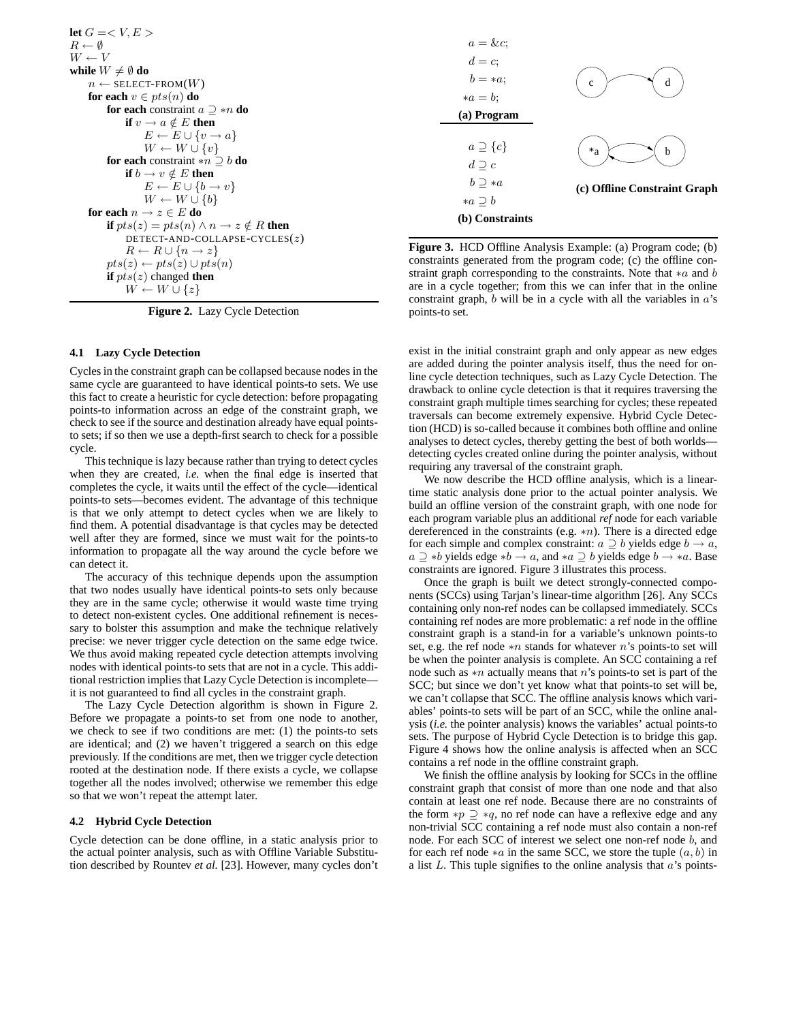```
let G = \langle V, E \rangleR \leftarrow \emptysetW \leftarrow Vwhile W \neq \emptyset do
n \leftarrow SELECT-FROM(W)for each v \in pts(n) do
     for each constraint a ⊇ ∗n do
           if v \rightarrow a \notin E then
                E \leftarrow E \cup \{v \rightarrow a\}W \leftarrow W \cup \{v\}for each constraint ∗n ⊇ b do
           if b \rightarrow v \notin E then
                 E \leftarrow E \cup \{b \rightarrow v\}W \leftarrow W \cup \{b\}for each n \to z \in E do
     if pts(z) = pts(n) \land n \rightarrow z \notin R then
           DETECT-AND-COLLAPSE-CYCLES(z)
           R \leftarrow R \cup \{n \rightarrow z\}pts(z) \leftarrow pts(z) \cup pts(n)if pts(z) changed then
           W \stackrel{\sim}{\leftarrow} W \cup \{z\}
```
**Figure 2.** Lazy Cycle Detection

#### **4.1 Lazy Cycle Detection**

Cycles in the constraint graph can be collapsed because nodes in the same cycle are guaranteed to have identical points-to sets. We use this fact to create a heuristic for cycle detection: before propagating points-to information across an edge of the constraint graph, we check to see if the source and destination already have equal pointsto sets; if so then we use a depth-first search to check for a possible cycle.

This technique is lazy because rather than trying to detect cycles when they are created, *i.e.* when the final edge is inserted that completes the cycle, it waits until the effect of the cycle—identical points-to sets—becomes evident. The advantage of this technique is that we only attempt to detect cycles when we are likely to find them. A potential disadvantage is that cycles may be detected well after they are formed, since we must wait for the points-to information to propagate all the way around the cycle before we can detect it.

The accuracy of this technique depends upon the assumption that two nodes usually have identical points-to sets only because they are in the same cycle; otherwise it would waste time trying to detect non-existent cycles. One additional refinement is necessary to bolster this assumption and make the technique relatively precise: we never trigger cycle detection on the same edge twice. We thus avoid making repeated cycle detection attempts involving nodes with identical points-to sets that are not in a cycle. This additional restriction implies that Lazy Cycle Detection is incomplete it is not guaranteed to find all cycles in the constraint graph.

The Lazy Cycle Detection algorithm is shown in Figure 2. Before we propagate a points-to set from one node to another, we check to see if two conditions are met: (1) the points-to sets are identical; and (2) we haven't triggered a search on this edge previously. If the conditions are met, then we trigger cycle detection rooted at the destination node. If there exists a cycle, we collapse together all the nodes involved; otherwise we remember this edge so that we won't repeat the attempt later.

## **4.2 Hybrid Cycle Detection**

Cycle detection can be done offline, in a static analysis prior to the actual pointer analysis, such as with Offline Variable Substitution described by Rountev *et al.* [23]. However, many cycles don't



**Figure 3.** HCD Offline Analysis Example: (a) Program code; (b) constraints generated from the program code; (c) the offline constraint graph corresponding to the constraints. Note that ∗a and b are in a cycle together; from this we can infer that in the online constraint graph,  $b$  will be in a cycle with all the variables in  $a$ 's points-to set.

exist in the initial constraint graph and only appear as new edges are added during the pointer analysis itself, thus the need for online cycle detection techniques, such as Lazy Cycle Detection. The drawback to online cycle detection is that it requires traversing the constraint graph multiple times searching for cycles; these repeated traversals can become extremely expensive. Hybrid Cycle Detection (HCD) is so-called because it combines both offline and online analyses to detect cycles, thereby getting the best of both worlds detecting cycles created online during the pointer analysis, without requiring any traversal of the constraint graph.

We now describe the HCD offline analysis, which is a lineartime static analysis done prior to the actual pointer analysis. We build an offline version of the constraint graph, with one node for each program variable plus an additional *ref* node for each variable dereferenced in the constraints (e.g.  $*n$ ). There is a directed edge for each simple and complex constraint:  $a \supseteq b$  yields edge  $b \rightarrow a$ ,  $a \supseteq *b$  yields edge  $*b \rightarrow a$ , and  $*a \supseteq b$  yields edge  $b \rightarrow *a$ . Base constraints are ignored. Figure 3 illustrates this process.

Once the graph is built we detect strongly-connected components (SCCs) using Tarjan's linear-time algorithm [26]. Any SCCs containing only non-ref nodes can be collapsed immediately. SCCs containing ref nodes are more problematic: a ref node in the offline constraint graph is a stand-in for a variable's unknown points-to set, e.g. the ref node  $*n$  stands for whatever n's points-to set will be when the pointer analysis is complete. An SCC containing a ref node such as ∗n actually means that n's points-to set is part of the SCC; but since we don't yet know what that points-to set will be, we can't collapse that SCC. The offline analysis knows which variables' points-to sets will be part of an SCC, while the online analysis (*i.e.* the pointer analysis) knows the variables' actual points-to sets. The purpose of Hybrid Cycle Detection is to bridge this gap. Figure 4 shows how the online analysis is affected when an SCC contains a ref node in the offline constraint graph.

We finish the offline analysis by looking for SCCs in the offline constraint graph that consist of more than one node and that also contain at least one ref node. Because there are no constraints of the form  $*p \supseteq *q$ , no ref node can have a reflexive edge and any non-trivial SCC containing a ref node must also contain a non-ref node. For each SCC of interest we select one non-ref node b, and for each ref node  $*a$  in the same SCC, we store the tuple  $(a, b)$  in a list  $L$ . This tuple signifies to the online analysis that  $a$ 's points-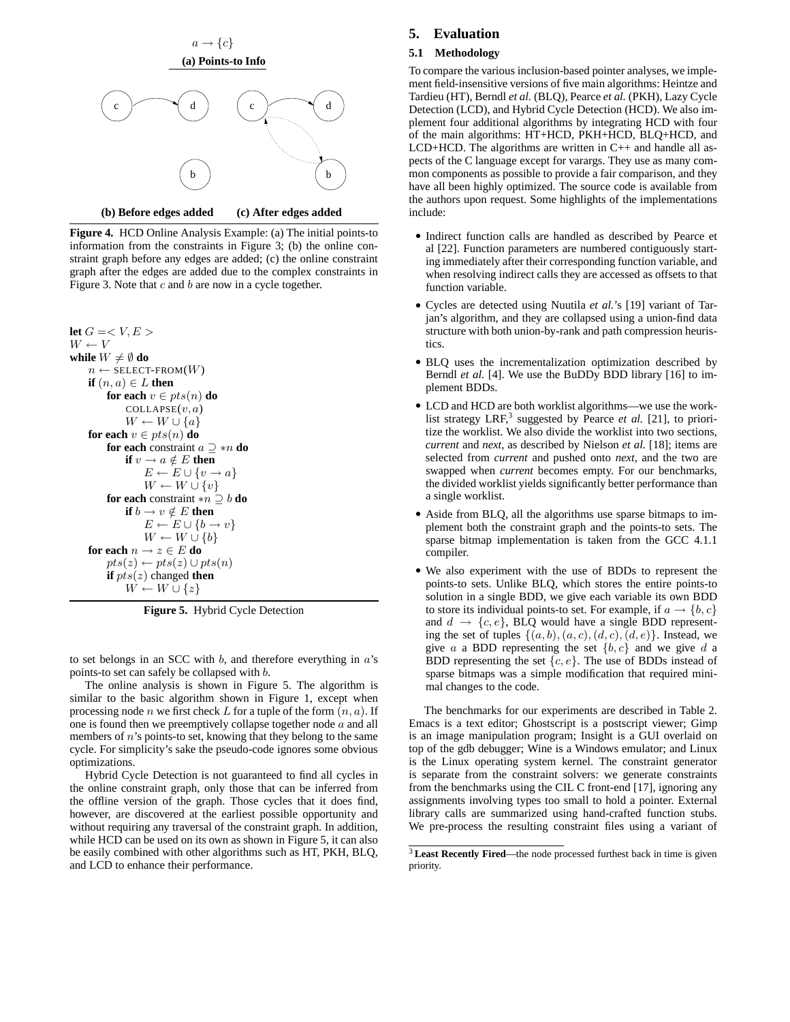

**Figure 4.** HCD Online Analysis Example: (a) The initial points-to information from the constraints in Figure 3; (b) the online constraint graph before any edges are added; (c) the online constraint graph after the edges are added due to the complex constraints in Figure 3. Note that  $c$  and  $b$  are now in a cycle together.

```
let G = < V, E >W \leftarrow Vwhile W \neq \emptyset do
n \leftarrow SELECT-FROM(W)if (n, a) \in L then
     for each v \in pts(n) do
          COLLAPSE(v, a)W \leftarrow W \cup \{a\}for each v \in pts(n) do
     for each constraint a ⊇ ∗n do
          if v \rightarrow a \notin E then
               E \leftarrow E \cup \{v \rightarrow a\}W \leftarrow W \cup \{v\}for each constraint ∗n ⊇ b do
          if b \rightarrow v \notin E then
               E \leftarrow E \cup \{b \rightarrow v\}W \leftarrow W \cup \{b\}for each n \to z \in E do
     pts(z) \leftarrow pts(z) \cup pts(n)if pts(z) changed then
          W \leftarrow W \cup \{z\}
```
**Figure 5.** Hybrid Cycle Detection

to set belongs in an SCC with  $b$ , and therefore everything in  $a$ 's points-to set can safely be collapsed with b.

The online analysis is shown in Figure 5. The algorithm is similar to the basic algorithm shown in Figure 1, except when processing node *n* we first check L for a tuple of the form  $(n, a)$ . If one is found then we preemptively collapse together node  $a$  and all members of n's points-to set, knowing that they belong to the same cycle. For simplicity's sake the pseudo-code ignores some obvious optimizations.

Hybrid Cycle Detection is not guaranteed to find all cycles in the online constraint graph, only those that can be inferred from the offline version of the graph. Those cycles that it does find, however, are discovered at the earliest possible opportunity and without requiring any traversal of the constraint graph. In addition, while HCD can be used on its own as shown in Figure 5, it can also be easily combined with other algorithms such as HT, PKH, BLQ, and LCD to enhance their performance.

# **5. Evaluation**

### **5.1 Methodology**

To compare the various inclusion-based pointer analyses, we implement field-insensitive versions of five main algorithms: Heintze and Tardieu (HT), Berndl *et al.* (BLQ), Pearce *et al.* (PKH), Lazy Cycle Detection (LCD), and Hybrid Cycle Detection (HCD). We also implement four additional algorithms by integrating HCD with four of the main algorithms: HT+HCD, PKH+HCD, BLQ+HCD, and LCD+HCD. The algorithms are written in  $C++$  and handle all aspects of the C language except for varargs. They use as many common components as possible to provide a fair comparison, and they have all been highly optimized. The source code is available from the authors upon request. Some highlights of the implementations include:

- Indirect function calls are handled as described by Pearce et al [22]. Function parameters are numbered contiguously starting immediately after their corresponding function variable, and when resolving indirect calls they are accessed as offsets to that function variable.
- Cycles are detected using Nuutila *et al.*'s [19] variant of Tarjan's algorithm, and they are collapsed using a union-find data structure with both union-by-rank and path compression heuristics.
- BLQ uses the incrementalization optimization described by Berndl *et al.* [4]. We use the BuDDy BDD library [16] to implement BDDs.
- LCD and HCD are both worklist algorithms—we use the worklist strategy LRF,<sup>3</sup> suggested by Pearce *et al.* [21], to prioritize the worklist. We also divide the worklist into two sections, *current* and *next*, as described by Nielson *et al.* [18]; items are selected from *current* and pushed onto *next*, and the two are swapped when *current* becomes empty. For our benchmarks, the divided worklist yields significantly better performance than a single worklist.
- Aside from BLQ, all the algorithms use sparse bitmaps to implement both the constraint graph and the points-to sets. The sparse bitmap implementation is taken from the GCC 4.1.1 compiler.
- We also experiment with the use of BDDs to represent the points-to sets. Unlike BLQ, which stores the entire points-to solution in a single BDD, we give each variable its own BDD to store its individual points-to set. For example, if  $a \rightarrow \{b, c\}$ and  $d \rightarrow \{c, e\}$ , BLQ would have a single BDD representing the set of tuples  $\{(a, b), (a, c), (d, c), (d, e)\}\)$ . Instead, we give a a BDD representing the set  $\{b, c\}$  and we give d a BDD representing the set  $\{c, e\}$ . The use of BDDs instead of sparse bitmaps was a simple modification that required minimal changes to the code.

The benchmarks for our experiments are described in Table 2. Emacs is a text editor; Ghostscript is a postscript viewer; Gimp is an image manipulation program; Insight is a GUI overlaid on top of the gdb debugger; Wine is a Windows emulator; and Linux is the Linux operating system kernel. The constraint generator is separate from the constraint solvers: we generate constraints from the benchmarks using the CIL C front-end [17], ignoring any assignments involving types too small to hold a pointer. External library calls are summarized using hand-crafted function stubs. We pre-process the resulting constraint files using a variant of

<sup>3</sup> **Least Recently Fired**—the node processed furthest back in time is given priority.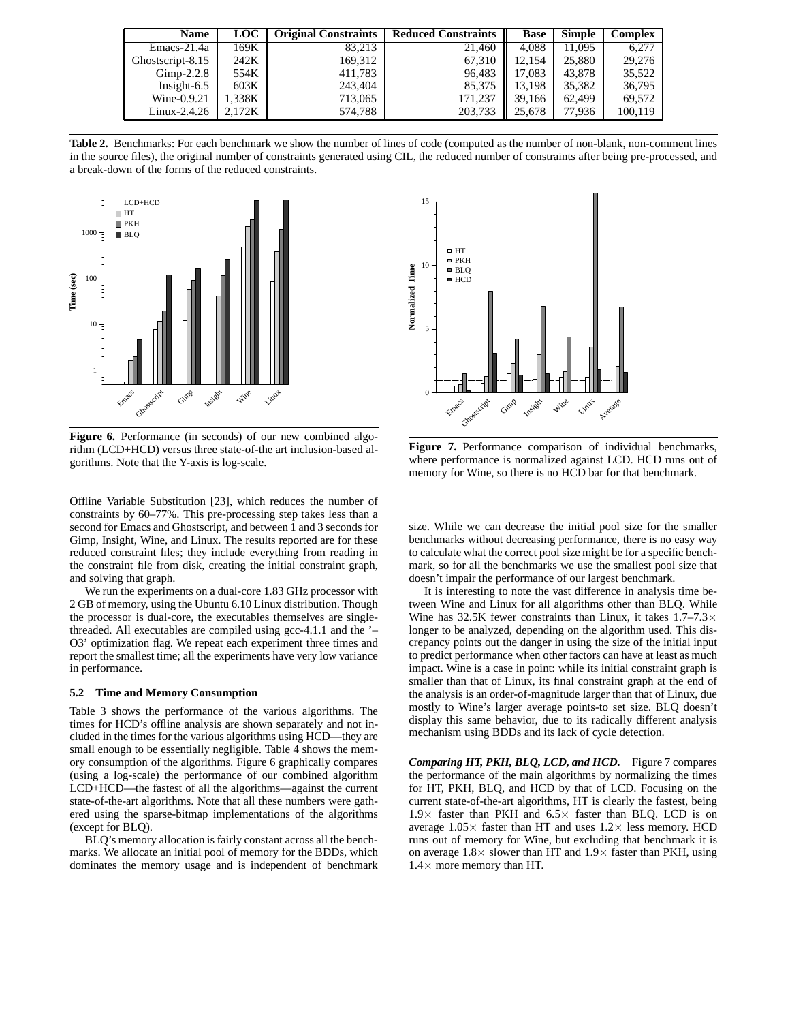| <b>Name</b>      | <b>LOC</b> | <b>Original Constraints</b> | <b>Reduced Constraints</b> | <b>Base</b> | <b>Simple</b> | <b>Complex</b> |
|------------------|------------|-----------------------------|----------------------------|-------------|---------------|----------------|
| Emacs-21.4a      | 169K       | 83.213                      | 21,460                     | 4.088       | 11,095        | 6,277          |
| Ghostscript-8.15 | 242K       | 169,312                     | 67,310                     | 12,154      | 25,880        | 29,276         |
| $Gimp-2.2.8$     | 554K       | 411,783                     | 96,483                     | 17,083      | 43,878        | 35,522         |
| Insight- $6.5$   | 603K       | 243,404                     | 85,375                     | 13.198      | 35,382        | 36,795         |
| Wine-0.9.21      | 1.338K     | 713,065                     | 171,237                    | 39.166      | 62,499        | 69,572         |
| $Linux-2.4.26$   | 2.172K     | 574,788                     | 203,733                    | 25,678      | 77,936        | 100,119        |

**Table 2.** Benchmarks: For each benchmark we show the number of lines of code (computed as the number of non-blank, non-comment lines in the source files), the original number of constraints generated using CIL, the reduced number of constraints after being pre-processed, and a break-down of the forms of the reduced constraints.



Figure 6. Performance (in seconds) of our new combined algorithm (LCD+HCD) versus three state-of-the art inclusion-based algorithms. Note that the Y-axis is log-scale.

Offline Variable Substitution [23], which reduces the number of constraints by 60–77%. This pre-processing step takes less than a second for Emacs and Ghostscript, and between 1 and 3 seconds for Gimp, Insight, Wine, and Linux. The results reported are for these reduced constraint files; they include everything from reading in the constraint file from disk, creating the initial constraint graph, and solving that graph.

We run the experiments on a dual-core 1.83 GHz processor with 2 GB of memory, using the Ubuntu 6.10 Linux distribution. Though the processor is dual-core, the executables themselves are singlethreaded. All executables are compiled using gcc-4.1.1 and the '– O3' optimization flag. We repeat each experiment three times and report the smallest time; all the experiments have very low variance in performance.

## **5.2 Time and Memory Consumption**

Table 3 shows the performance of the various algorithms. The times for HCD's offline analysis are shown separately and not included in the times for the various algorithms using HCD—they are small enough to be essentially negligible. Table 4 shows the memory consumption of the algorithms. Figure 6 graphically compares (using a log-scale) the performance of our combined algorithm LCD+HCD—the fastest of all the algorithms—against the current state-of-the-art algorithms. Note that all these numbers were gathered using the sparse-bitmap implementations of the algorithms (except for BLQ).

BLQ's memory allocation is fairly constant across all the benchmarks. We allocate an initial pool of memory for the BDDs, which dominates the memory usage and is independent of benchmark



**Figure 7.** Performance comparison of individual benchmarks, where performance is normalized against LCD. HCD runs out of memory for Wine, so there is no HCD bar for that benchmark.

size. While we can decrease the initial pool size for the smaller benchmarks without decreasing performance, there is no easy way to calculate what the correct pool size might be for a specific benchmark, so for all the benchmarks we use the smallest pool size that doesn't impair the performance of our largest benchmark.

It is interesting to note the vast difference in analysis time between Wine and Linux for all algorithms other than BLQ. While Wine has  $32.5K$  fewer constraints than Linux, it takes  $1.7-7.3 \times$ longer to be analyzed, depending on the algorithm used. This discrepancy points out the danger in using the size of the initial input to predict performance when other factors can have at least as much impact. Wine is a case in point: while its initial constraint graph is smaller than that of Linux, its final constraint graph at the end of the analysis is an order-of-magnitude larger than that of Linux, due mostly to Wine's larger average points-to set size. BLQ doesn't display this same behavior, due to its radically different analysis mechanism using BDDs and its lack of cycle detection.

*Comparing HT, PKH, BLQ, LCD, and HCD.* Figure 7 compares the performance of the main algorithms by normalizing the times for HT, PKH, BLQ, and HCD by that of LCD. Focusing on the current state-of-the-art algorithms, HT is clearly the fastest, being  $1.9\times$  faster than PKH and  $6.5\times$  faster than BLQ. LCD is on average  $1.05\times$  faster than HT and uses  $1.2\times$  less memory. HCD runs out of memory for Wine, but excluding that benchmark it is on average  $1.8\times$  slower than HT and  $1.9\times$  faster than PKH, using  $1.4\times$  more memory than HT.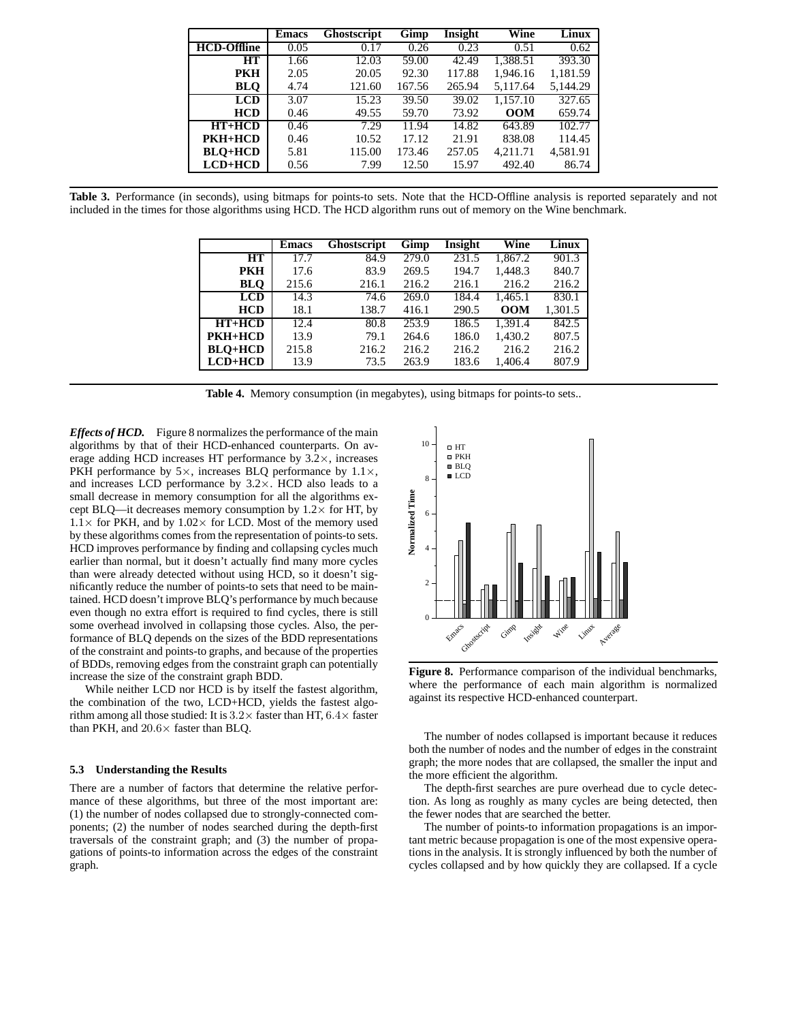|                    | <b>Emacs</b> | Ghostscript | Gimp   | Insight | Wine            | Linux    |
|--------------------|--------------|-------------|--------|---------|-----------------|----------|
| <b>HCD-Offline</b> | 0.05         | 0.17        | 0.26   | 0.23    | 0.51            | 0.62     |
| <b>HT</b>          | 1.66         | 12.03       | 59.00  | 42.49   | 1.388.51        | 393.30   |
| PKH                | 2.05         | 20.05       | 92.30  | 117.88  | 1,946.16        | 1,181.59 |
| <b>BLO</b>         | 4.74         | 121.60      | 167.56 | 265.94  | 5.117.64        | 5.144.29 |
| <b>LCD</b>         | 3.07         | 15.23       | 39.50  | 39.02   | 1.157.10        | 327.65   |
| <b>HCD</b>         | 0.46         | 49.55       | 59.70  | 73.92   | 00M             | 659.74   |
| $HT+HCD$           | 0.46         | 7.29        | 11.94  | 14.82   | $\sqrt{643.89}$ | 102.77   |
| $PKH+HCD$          | 0.46         | 10.52       | 17.12  | 21.91   | 838.08          | 114.45   |
| <b>BLO+HCD</b>     | 5.81         | 115.00      | 173.46 | 257.05  | 4.211.71        | 4,581.91 |
| $LCD+HCD$          | 0.56         | 7.99        | 12.50  | 15.97   | 492.40          | 86.74    |

**Table 3.** Performance (in seconds), using bitmaps for points-to sets. Note that the HCD-Offline analysis is reported separately and not included in the times for those algorithms using HCD. The HCD algorithm runs out of memory on the Wine benchmark.

|                | <b>Emacs</b> | <b>Ghostscript</b> | Gimp  | Insight | Wine       | Linux   |
|----------------|--------------|--------------------|-------|---------|------------|---------|
| <b>HT</b>      | 17.7         | 84.9               | 279.0 | 231.5   | 1,867.2    | 901.3   |
| <b>PKH</b>     | 17.6         | 83.9               | 269.5 | 194.7   | 1.448.3    | 840.7   |
| <b>BLQ</b>     | 215.6        | 216.1              | 216.2 | 216.1   | 216.2      | 216.2   |
| <b>LCD</b>     | 14.3         | 74.6               | 269.0 | 184.4   | 1.465.1    | 830.1   |
| <b>HCD</b>     | 18.1         | 138.7              | 416.1 | 290.5   | <b>OOM</b> | 1,301.5 |
| $HT+HCD$       | 12.4         | 80.8               | 253.9 | 186.5   | 1.391.4    | 842.5   |
| PKH+HCD        | 13.9         | 79.1               | 264.6 | 186.0   | 1.430.2    | 807.5   |
| <b>BLO+HCD</b> | 215.8        | 216.2              | 216.2 | 216.2   | 216.2      | 216.2   |
| $LCD+HCD$      | 13.9         | 73.5               | 263.9 | 183.6   | 1.406.4    | 807.9   |

**Table 4.** Memory consumption (in megabytes), using bitmaps for points-to sets..

*Effects of HCD.* Figure 8 normalizes the performance of the main algorithms by that of their HCD-enhanced counterparts. On average adding HCD increases HT performance by  $3.2 \times$ , increases PKH performance by  $5\times$ , increases BLQ performance by  $1.1\times$ , and increases LCD performance by  $3.2 \times$ . HCD also leads to a small decrease in memory consumption for all the algorithms except BLQ—it decreases memory consumption by  $1.2\times$  for HT, by  $1.1\times$  for PKH, and by  $1.02\times$  for LCD. Most of the memory used by these algorithms comes from the representation of points-to sets. HCD improves performance by finding and collapsing cycles much earlier than normal, but it doesn't actually find many more cycles than were already detected without using HCD, so it doesn't significantly reduce the number of points-to sets that need to be maintained. HCD doesn't improve BLQ's performance by much because even though no extra effort is required to find cycles, there is still some overhead involved in collapsing those cycles. Also, the performance of BLQ depends on the sizes of the BDD representations of the constraint and points-to graphs, and because of the properties of BDDs, removing edges from the constraint graph can potentially increase the size of the constraint graph BDD.

While neither LCD nor HCD is by itself the fastest algorithm, the combination of the two, LCD+HCD, yields the fastest algorithm among all those studied: It is  $3.2\times$  faster than HT,  $6.4\times$  faster than PKH, and  $20.6\times$  faster than BLQ.

#### **5.3 Understanding the Results**

There are a number of factors that determine the relative performance of these algorithms, but three of the most important are: (1) the number of nodes collapsed due to strongly-connected components; (2) the number of nodes searched during the depth-first traversals of the constraint graph; and (3) the number of propagations of points-to information across the edges of the constraint graph.



**Figure 8.** Performance comparison of the individual benchmarks, where the performance of each main algorithm is normalized against its respective HCD-enhanced counterpart.

The number of nodes collapsed is important because it reduces both the number of nodes and the number of edges in the constraint graph; the more nodes that are collapsed, the smaller the input and the more efficient the algorithm.

The depth-first searches are pure overhead due to cycle detection. As long as roughly as many cycles are being detected, then the fewer nodes that are searched the better.

The number of points-to information propagations is an important metric because propagation is one of the most expensive operations in the analysis. It is strongly influenced by both the number of cycles collapsed and by how quickly they are collapsed. If a cycle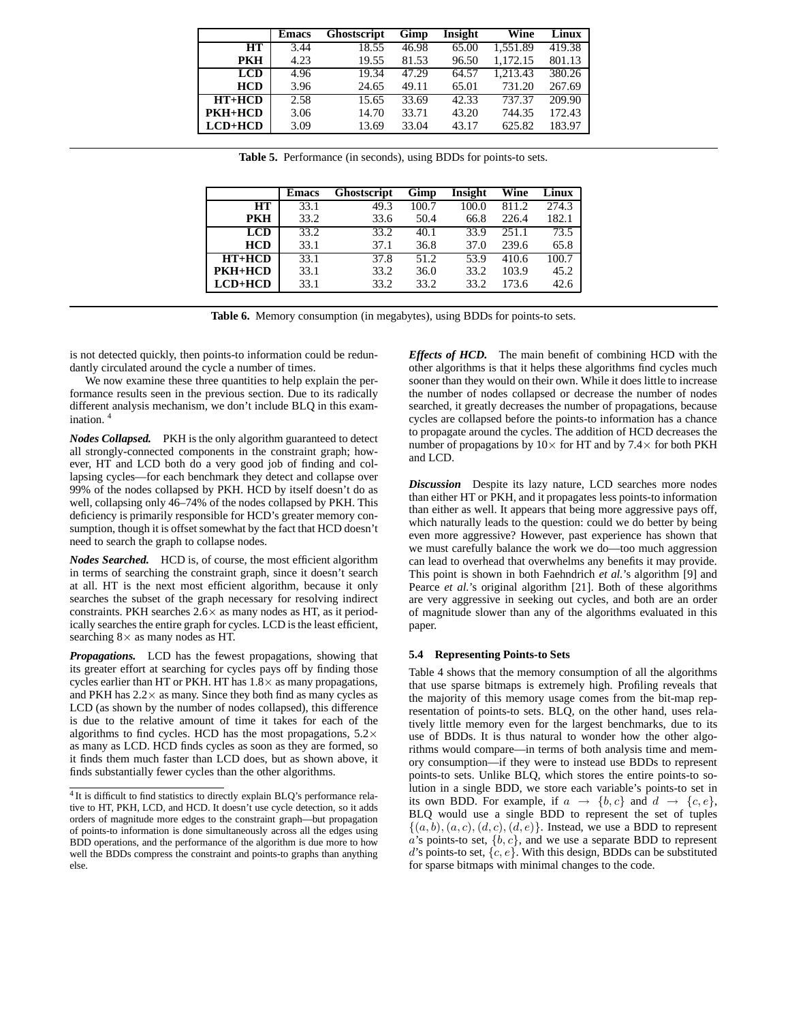|                | <b>Emacs</b> | <b>Ghostscript</b> | Gimp  | Insight | Wine     | Linux  |
|----------------|--------------|--------------------|-------|---------|----------|--------|
| <b>HT</b>      | 3.44         | 18.55              | 46.98 | 65.00   | 1.551.89 | 419.38 |
| <b>PKH</b>     | 4.23         | 19.55              | 81.53 | 96.50   | 1.172.15 | 801.13 |
| LCD            | 4.96         | 19.34              | 47.29 | 64.57   | 1.213.43 | 380.26 |
| <b>HCD</b>     | 3.96         | 24.65              | 49.11 | 65.01   | 731.20   | 267.69 |
| $HT+HCD$       | 2.58         | 15.65              | 33.69 | 42.33   | 737.37   | 209.90 |
| <b>PKH+HCD</b> | 3.06         | 14.70              | 33.71 | 43.20   | 744.35   | 172.43 |
| $LCD+HCD$      | 3.09         | 13.69              | 33.04 | 43.17   | 625.82   | 183.97 |

| Table 5. Performance (in seconds), using BDDs for points-to sets. |  |  |  |
|-------------------------------------------------------------------|--|--|--|
|-------------------------------------------------------------------|--|--|--|

|            | <b>Emacs</b> | <b>Ghostscript</b> | Gimp  | Insight | Wine  | Linux |
|------------|--------------|--------------------|-------|---------|-------|-------|
| <b>HT</b>  | 33.1         | 49.3               | 100.7 | 100.0   | 811.2 | 274.3 |
| PKH        | 33.2         | 33.6               | 50.4  | 66.8    | 226.4 | 182.1 |
| LCD        | 33.2         | 33.2               | 40.1  | 33.9    | 251.1 | 73.5  |
| <b>HCD</b> | 33.1         | 37.1               | 36.8  | 37.0    | 239.6 | 65.8  |
| $HT+HCD$   | 33.1         | 37.8               | 51.2  | 53.9    | 410.6 | 100.7 |
| PKH+HCD    | 33.1         | 33.2               | 36.0  | 33.2    | 103.9 | 45.2  |
| $LCD+HCD$  | 33.1         | 33.2               | 33.2  | 33.2    | 173.6 | 42.6  |

**Table 6.** Memory consumption (in megabytes), using BDDs for points-to sets.

is not detected quickly, then points-to information could be redundantly circulated around the cycle a number of times.

We now examine these three quantities to help explain the performance results seen in the previous section. Due to its radically different analysis mechanism, we don't include BLQ in this examination<sup>4</sup>

*Nodes Collapsed.* PKH is the only algorithm guaranteed to detect all strongly-connected components in the constraint graph; however, HT and LCD both do a very good job of finding and collapsing cycles—for each benchmark they detect and collapse over 99% of the nodes collapsed by PKH. HCD by itself doesn't do as well, collapsing only 46–74% of the nodes collapsed by PKH. This deficiency is primarily responsible for HCD's greater memory consumption, though it is offset somewhat by the fact that HCD doesn't need to search the graph to collapse nodes.

*Nodes Searched.* HCD is, of course, the most efficient algorithm in terms of searching the constraint graph, since it doesn't search at all. HT is the next most efficient algorithm, because it only searches the subset of the graph necessary for resolving indirect constraints. PKH searches  $2.6 \times$  as many nodes as HT, as it periodically searches the entire graph for cycles. LCD is the least efficient, searching  $8\times$  as many nodes as HT.

*Propagations.* LCD has the fewest propagations, showing that its greater effort at searching for cycles pays off by finding those cycles earlier than HT or PKH. HT has  $1.8\times$  as many propagations, and PKH has  $2.2 \times$  as many. Since they both find as many cycles as LCD (as shown by the number of nodes collapsed), this difference is due to the relative amount of time it takes for each of the algorithms to find cycles. HCD has the most propagations,  $5.2\times$ as many as LCD. HCD finds cycles as soon as they are formed, so it finds them much faster than LCD does, but as shown above, it finds substantially fewer cycles than the other algorithms.

*Effects of HCD.* The main benefit of combining HCD with the other algorithms is that it helps these algorithms find cycles much sooner than they would on their own. While it does little to increase the number of nodes collapsed or decrease the number of nodes searched, it greatly decreases the number of propagations, because cycles are collapsed before the points-to information has a chance to propagate around the cycles. The addition of HCD decreases the number of propagations by  $10\times$  for HT and by 7.4 $\times$  for both PKH and LCD.

*Discussion* Despite its lazy nature, LCD searches more nodes than either HT or PKH, and it propagates less points-to information than either as well. It appears that being more aggressive pays off, which naturally leads to the question: could we do better by being even more aggressive? However, past experience has shown that we must carefully balance the work we do—too much aggression can lead to overhead that overwhelms any benefits it may provide. This point is shown in both Faehndrich *et al.*'s algorithm [9] and Pearce *et al.*'s original algorithm [21]. Both of these algorithms are very aggressive in seeking out cycles, and both are an order of magnitude slower than any of the algorithms evaluated in this paper.

#### **5.4 Representing Points-to Sets**

Table 4 shows that the memory consumption of all the algorithms that use sparse bitmaps is extremely high. Profiling reveals that the majority of this memory usage comes from the bit-map representation of points-to sets. BLQ, on the other hand, uses relatively little memory even for the largest benchmarks, due to its use of BDDs. It is thus natural to wonder how the other algorithms would compare—in terms of both analysis time and memory consumption—if they were to instead use BDDs to represent points-to sets. Unlike BLQ, which stores the entire points-to solution in a single BDD, we store each variable's points-to set in its own BDD. For example, if  $a \rightarrow \{b, c\}$  and  $d \rightarrow \{c, e\}$ , BLQ would use a single BDD to represent the set of tuples  $\{(a, b), (a, c), (d, c), (d, e)\}.$  Instead, we use a BDD to represent  $a$ 's points-to set,  $\{b, c\}$ , and we use a separate BDD to represent d's points-to set,  $\{c, e\}$ . With this design, BDDs can be substituted for sparse bitmaps with minimal changes to the code.

<sup>&</sup>lt;sup>4</sup> It is difficult to find statistics to directly explain BLQ's performance relative to HT, PKH, LCD, and HCD. It doesn't use cycle detection, so it adds orders of magnitude more edges to the constraint graph—but propagation of points-to information is done simultaneously across all the edges using BDD operations, and the performance of the algorithm is due more to how well the BDDs compress the constraint and points-to graphs than anything else.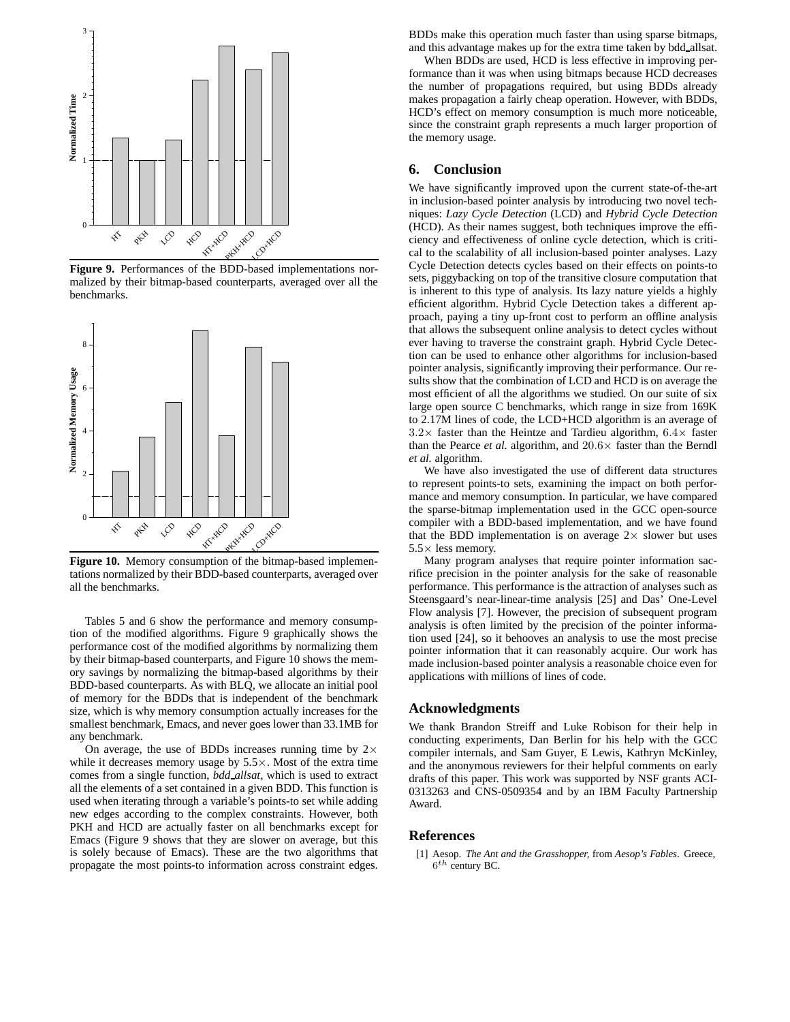

**Figure 9.** Performances of the BDD-based implementations normalized by their bitmap-based counterparts, averaged over all the benchmarks.



**Figure 10.** Memory consumption of the bitmap-based implementations normalized by their BDD-based counterparts, averaged over all the benchmarks.

Tables 5 and 6 show the performance and memory consumption of the modified algorithms. Figure 9 graphically shows the performance cost of the modified algorithms by normalizing them by their bitmap-based counterparts, and Figure 10 shows the memory savings by normalizing the bitmap-based algorithms by their BDD-based counterparts. As with BLQ, we allocate an initial pool of memory for the BDDs that is independent of the benchmark size, which is why memory consumption actually increases for the smallest benchmark, Emacs, and never goes lower than 33.1MB for any benchmark.

On average, the use of BDDs increases running time by  $2\times$ while it decreases memory usage by  $5.5 \times$ . Most of the extra time comes from a single function, *bdd allsat*, which is used to extract all the elements of a set contained in a given BDD. This function is used when iterating through a variable's points-to set while adding new edges according to the complex constraints. However, both PKH and HCD are actually faster on all benchmarks except for Emacs (Figure 9 shows that they are slower on average, but this is solely because of Emacs). These are the two algorithms that propagate the most points-to information across constraint edges.

BDDs make this operation much faster than using sparse bitmaps, and this advantage makes up for the extra time taken by bdd allsat.

When BDDs are used, HCD is less effective in improving performance than it was when using bitmaps because HCD decreases the number of propagations required, but using BDDs already makes propagation a fairly cheap operation. However, with BDDs, HCD's effect on memory consumption is much more noticeable, since the constraint graph represents a much larger proportion of the memory usage.

## **6. Conclusion**

We have significantly improved upon the current state-of-the-art in inclusion-based pointer analysis by introducing two novel techniques: *Lazy Cycle Detection* (LCD) and *Hybrid Cycle Detection* (HCD). As their names suggest, both techniques improve the efficiency and effectiveness of online cycle detection, which is critical to the scalability of all inclusion-based pointer analyses. Lazy Cycle Detection detects cycles based on their effects on points-to sets, piggybacking on top of the transitive closure computation that is inherent to this type of analysis. Its lazy nature yields a highly efficient algorithm. Hybrid Cycle Detection takes a different approach, paying a tiny up-front cost to perform an offline analysis that allows the subsequent online analysis to detect cycles without ever having to traverse the constraint graph. Hybrid Cycle Detection can be used to enhance other algorithms for inclusion-based pointer analysis, significantly improving their performance. Our results show that the combination of LCD and HCD is on average the most efficient of all the algorithms we studied. On our suite of six large open source C benchmarks, which range in size from 169K to 2.17M lines of code, the LCD+HCD algorithm is an average of  $3.2\times$  faster than the Heintze and Tardieu algorithm,  $6.4\times$  faster than the Pearce *et al.* algorithm, and  $20.6 \times$  faster than the Berndl *et al.* algorithm.

We have also investigated the use of different data structures to represent points-to sets, examining the impact on both performance and memory consumption. In particular, we have compared the sparse-bitmap implementation used in the GCC open-source compiler with a BDD-based implementation, and we have found that the BDD implementation is on average  $2 \times$  slower but uses  $5.5\times$  less memory.

Many program analyses that require pointer information sacrifice precision in the pointer analysis for the sake of reasonable performance. This performance is the attraction of analyses such as Steensgaard's near-linear-time analysis [25] and Das' One-Level Flow analysis [7]. However, the precision of subsequent program analysis is often limited by the precision of the pointer information used [24], so it behooves an analysis to use the most precise pointer information that it can reasonably acquire. Our work has made inclusion-based pointer analysis a reasonable choice even for applications with millions of lines of code.

#### **Acknowledgments**

We thank Brandon Streiff and Luke Robison for their help in conducting experiments, Dan Berlin for his help with the GCC compiler internals, and Sam Guyer, E Lewis, Kathryn McKinley, and the anonymous reviewers for their helpful comments on early drafts of this paper. This work was supported by NSF grants ACI-0313263 and CNS-0509354 and by an IBM Faculty Partnership Award.

#### **References**

[1] Aesop. *The Ant and the Grasshopper,* from *Aesop's Fables*. Greece,  $6<sup>th</sup>$  century BC.